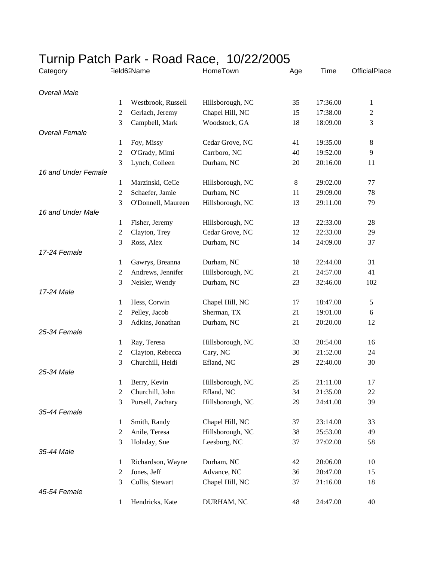## Turnip Patch Park - Road Race, 10/22/2005

| Category              | Field62Name    |                    | HomeTown         | Age    | Time     | OfficialPlace  |  |  |  |  |
|-----------------------|----------------|--------------------|------------------|--------|----------|----------------|--|--|--|--|
| <b>Overall Male</b>   |                |                    |                  |        |          |                |  |  |  |  |
|                       | 1              | Westbrook, Russell | Hillsborough, NC | 35     | 17:36.00 | 1              |  |  |  |  |
|                       | $\overline{c}$ | Gerlach, Jeremy    | Chapel Hill, NC  | 15     | 17:38.00 | $\overline{c}$ |  |  |  |  |
|                       | 3              | Campbell, Mark     | Woodstock, GA    | 18     | 18:09.00 | 3              |  |  |  |  |
| <b>Overall Female</b> |                |                    |                  |        |          |                |  |  |  |  |
|                       | 1              | Foy, Missy         | Cedar Grove, NC  | 41     | 19:35.00 | $\,8\,$        |  |  |  |  |
|                       | $\overline{c}$ | O'Grady, Mimi      | Carrboro, NC     | 40     | 19:52.00 | $\overline{9}$ |  |  |  |  |
|                       | 3              | Lynch, Colleen     | Durham, NC       | 20     | 20:16.00 | 11             |  |  |  |  |
| 16 and Under Female   |                |                    |                  |        |          |                |  |  |  |  |
|                       | 1              | Marzinski, CeCe    | Hillsborough, NC | 8      | 29:02.00 | 77             |  |  |  |  |
|                       | $\overline{2}$ | Schaefer, Jamie    | Durham, NC       | 11     | 29:09.00 | 78             |  |  |  |  |
|                       | 3              | O'Donnell, Maureen | Hillsborough, NC | 13     | 29:11.00 | 79             |  |  |  |  |
| 16 and Under Male     |                |                    |                  |        |          |                |  |  |  |  |
|                       | $\mathbf{1}$   | Fisher, Jeremy     | Hillsborough, NC | 13     | 22:33.00 | 28             |  |  |  |  |
|                       | 2              | Clayton, Trey      | Cedar Grove, NC  | 12     | 22:33.00 | 29             |  |  |  |  |
|                       | 3              | Ross, Alex         | Durham, NC       | 14     | 24:09.00 | 37             |  |  |  |  |
| 17-24 Female          |                |                    |                  |        |          |                |  |  |  |  |
|                       | $\mathbf{1}$   | Gawrys, Breanna    | Durham, NC       | 18     | 22:44.00 | 31             |  |  |  |  |
|                       | $\overline{2}$ | Andrews, Jennifer  | Hillsborough, NC | 21     | 24:57.00 | 41             |  |  |  |  |
|                       | 3              | Neisler, Wendy     | Durham, NC       | 23     | 32:46.00 | 102            |  |  |  |  |
| 17-24 Male            |                |                    |                  |        |          |                |  |  |  |  |
|                       | 1              | Hess, Corwin       | Chapel Hill, NC  | 17     | 18:47.00 | 5              |  |  |  |  |
|                       | $\overline{c}$ | Pelley, Jacob      | Sherman, TX      | 21     | 19:01.00 | 6              |  |  |  |  |
|                       | 3              | Adkins, Jonathan   | Durham, NC       | 21     | 20:20.00 | 12             |  |  |  |  |
| 25-34 Female          |                |                    |                  |        |          |                |  |  |  |  |
|                       | 1              | Ray, Teresa        | Hillsborough, NC | 33     | 20:54.00 | 16             |  |  |  |  |
|                       | $\overline{c}$ | Clayton, Rebecca   | Cary, NC         | 30     | 21:52.00 | 24             |  |  |  |  |
|                       | 3              | Churchill, Heidi   | Efland, NC       | 29     | 22:40.00 | 30             |  |  |  |  |
| 25-34 Male            |                |                    |                  |        |          |                |  |  |  |  |
|                       | 1              | Berry, Kevin       | Hillsborough, NC | $25\,$ | 21:11.00 | 17             |  |  |  |  |
|                       | 2              | Churchill, John    | Efland, NC       | 34     | 21:35.00 | $22\,$         |  |  |  |  |
|                       | 3              | Pursell, Zachary   | Hillsborough, NC | 29     | 24:41.00 | 39             |  |  |  |  |
| 35-44 Female          |                |                    |                  |        |          |                |  |  |  |  |
|                       | 1              | Smith, Randy       | Chapel Hill, NC  | 37     | 23:14.00 | 33             |  |  |  |  |
|                       | $\overline{c}$ | Anile, Teresa      | Hillsborough, NC | 38     | 25:53.00 | 49             |  |  |  |  |
|                       | 3              | Holaday, Sue       | Leesburg, NC     | 37     | 27:02.00 | 58             |  |  |  |  |
| 35-44 Male            |                |                    |                  |        |          |                |  |  |  |  |
|                       | 1              | Richardson, Wayne  | Durham, NC       | 42     | 20:06.00 | 10             |  |  |  |  |
|                       | 2              | Jones, Jeff        | Advance, NC      | 36     | 20:47.00 | 15             |  |  |  |  |
|                       | 3              | Collis, Stewart    | Chapel Hill, NC  | 37     | 21:16.00 | 18             |  |  |  |  |
| 45-54 Female          |                |                    |                  |        |          |                |  |  |  |  |
|                       | 1              | Hendricks, Kate    | DURHAM, NC       | 48     | 24:47.00 | 40             |  |  |  |  |